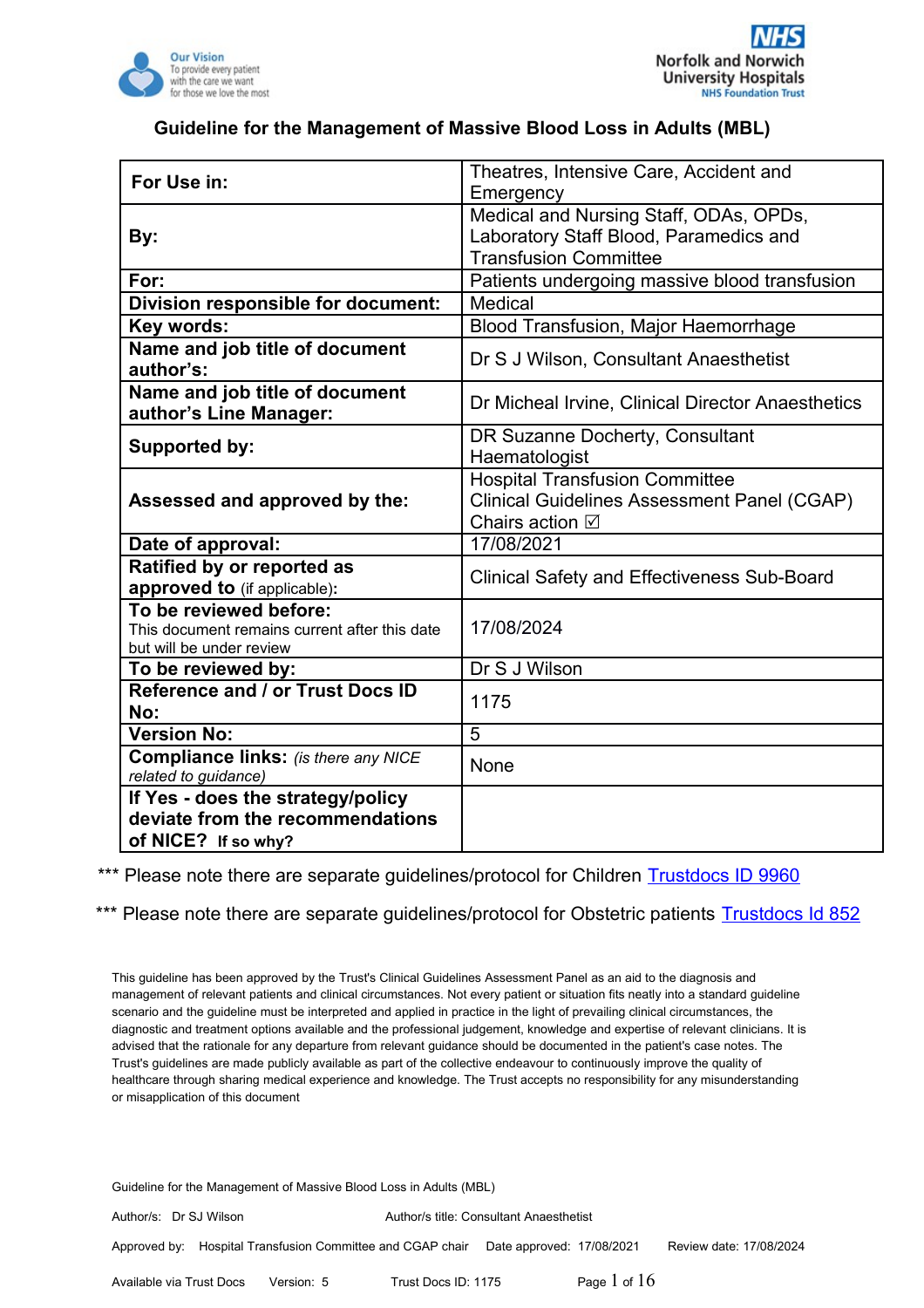

| For Use in:                                                                                         | Theatres, Intensive Care, Accident and                                                                                   |  |
|-----------------------------------------------------------------------------------------------------|--------------------------------------------------------------------------------------------------------------------------|--|
|                                                                                                     | Emergency                                                                                                                |  |
|                                                                                                     | Medical and Nursing Staff, ODAs, OPDs,                                                                                   |  |
| By:                                                                                                 | Laboratory Staff Blood, Paramedics and                                                                                   |  |
|                                                                                                     | <b>Transfusion Committee</b>                                                                                             |  |
| For:                                                                                                | Patients undergoing massive blood transfusion                                                                            |  |
| Division responsible for document:                                                                  | Medical                                                                                                                  |  |
| Key words:                                                                                          | Blood Transfusion, Major Haemorrhage                                                                                     |  |
| Name and job title of document<br>author's:                                                         | Dr S J Wilson, Consultant Anaesthetist                                                                                   |  |
| Name and job title of document<br>author's Line Manager:                                            | Dr Micheal Irvine, Clinical Director Anaesthetics                                                                        |  |
| Supported by:                                                                                       | DR Suzanne Docherty, Consultant<br>Haematologist                                                                         |  |
| Assessed and approved by the:                                                                       | <b>Hospital Transfusion Committee</b><br><b>Clinical Guidelines Assessment Panel (CGAP)</b><br>Chairs action $\boxtimes$ |  |
| Date of approval:                                                                                   | 17/08/2021                                                                                                               |  |
| Ratified by or reported as<br>approved to (if applicable):                                          | <b>Clinical Safety and Effectiveness Sub-Board</b>                                                                       |  |
| To be reviewed before:<br>This document remains current after this date<br>but will be under review | 17/08/2024                                                                                                               |  |
| To be reviewed by:                                                                                  | Dr S J Wilson                                                                                                            |  |
| Reference and / or Trust Docs ID<br>No:                                                             | 1175                                                                                                                     |  |
| <b>Version No:</b>                                                                                  | 5                                                                                                                        |  |
| <b>Compliance links:</b> (is there any NICE<br>related to guidance)                                 | None                                                                                                                     |  |
| If Yes - does the strategy/policy                                                                   |                                                                                                                          |  |
| deviate from the recommendations                                                                    |                                                                                                                          |  |
| of NICE? If so why?                                                                                 |                                                                                                                          |  |

\*\*\* Please note there are separate guidelines/protocol for Children [Trustdocs ID 9960](http://trustdocs/Doc.aspx?id=9960)

\*\*\* Please note there are separate guidelines/protocol for Obstetric patients [Trustdocs Id 852](http://trustdocs/Doc.aspx?id=852)

This guideline has been approved by the Trust's Clinical Guidelines Assessment Panel as an aid to the diagnosis and management of relevant patients and clinical circumstances. Not every patient or situation fits neatly into a standard guideline scenario and the guideline must be interpreted and applied in practice in the light of prevailing clinical circumstances, the diagnostic and treatment options available and the professional judgement, knowledge and expertise of relevant clinicians. It is advised that the rationale for any departure from relevant guidance should be documented in the patient's case notes. The Trust's guidelines are made publicly available as part of the collective endeavour to continuously improve the quality of healthcare through sharing medical experience and knowledge. The Trust accepts no responsibility for any misunderstanding or misapplication of this document

Guideline for the Management of Massive Blood Loss in Adults (MBL)

Author/s: Dr SJ Wilson Author/s title: Consultant Anaesthetist Approved by: Hospital Transfusion Committee and CGAP chair Date approved: 17/08/2021 Review date: 17/08/2024 Available via Trust Docs Version: 5 Trust Docs ID: 1175 **Page 1 of 16**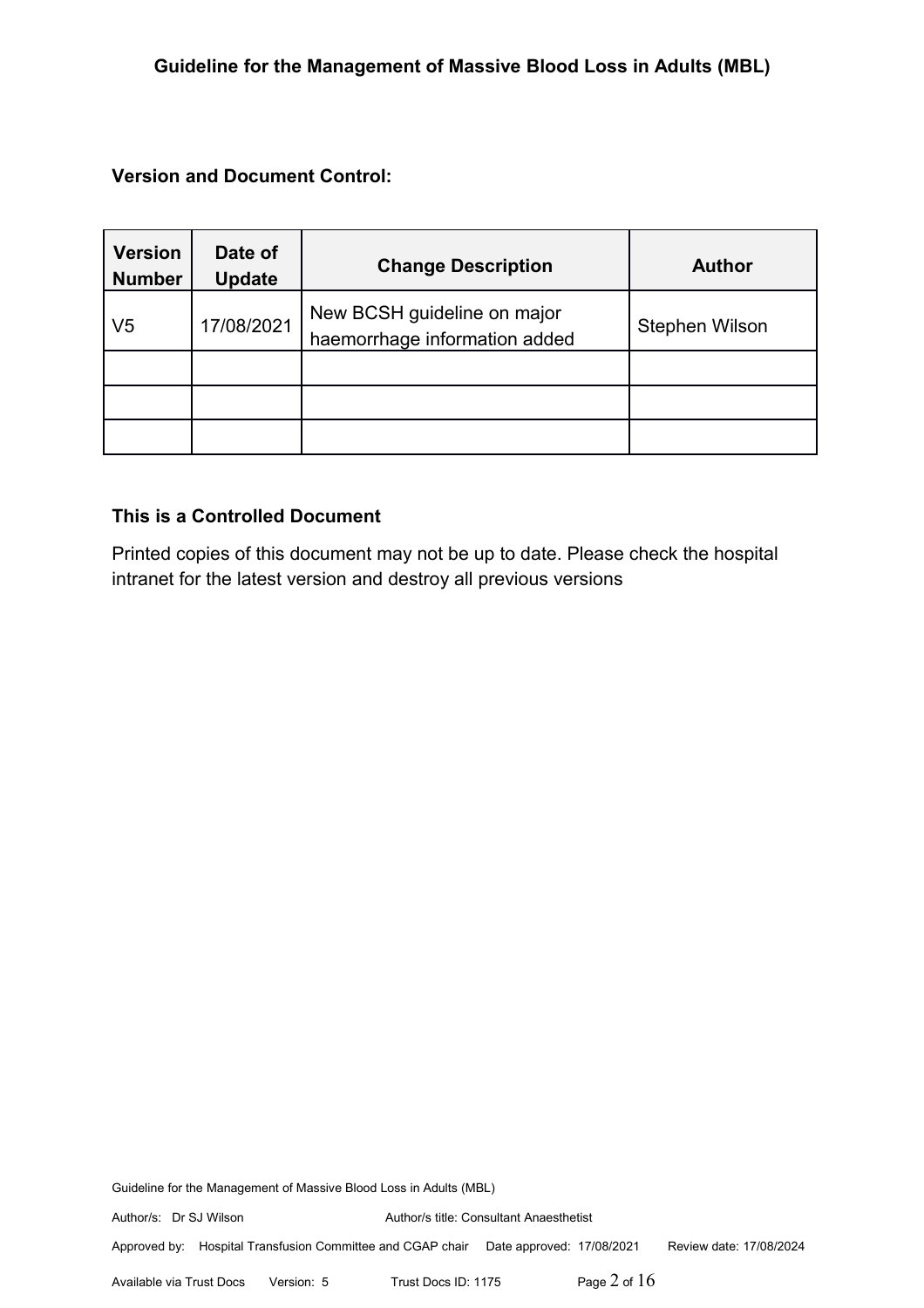**Version and Document Control:**

| <b>Version</b><br><b>Number</b> | Date of<br><b>Update</b> | <b>Change Description</b>                                    | <b>Author</b>  |
|---------------------------------|--------------------------|--------------------------------------------------------------|----------------|
| V <sub>5</sub>                  | 17/08/2021               | New BCSH guideline on major<br>haemorrhage information added | Stephen Wilson |
|                                 |                          |                                                              |                |
|                                 |                          |                                                              |                |
|                                 |                          |                                                              |                |

## **This is a Controlled Document**

Printed copies of this document may not be up to date. Please check the hospital intranet for the latest version and destroy all previous versions

Guideline for the Management of Massive Blood Loss in Adults (MBL)

Author/s: Dr SJ Wilson Author/s title: Consultant Anaesthetist

Approved by: Hospital Transfusion Committee and CGAP chair Date approved: 17/08/2021 Review date: 17/08/2024

Available via Trust Docs Version: 5 Trust Docs ID: 1175 **Page 2 of 16**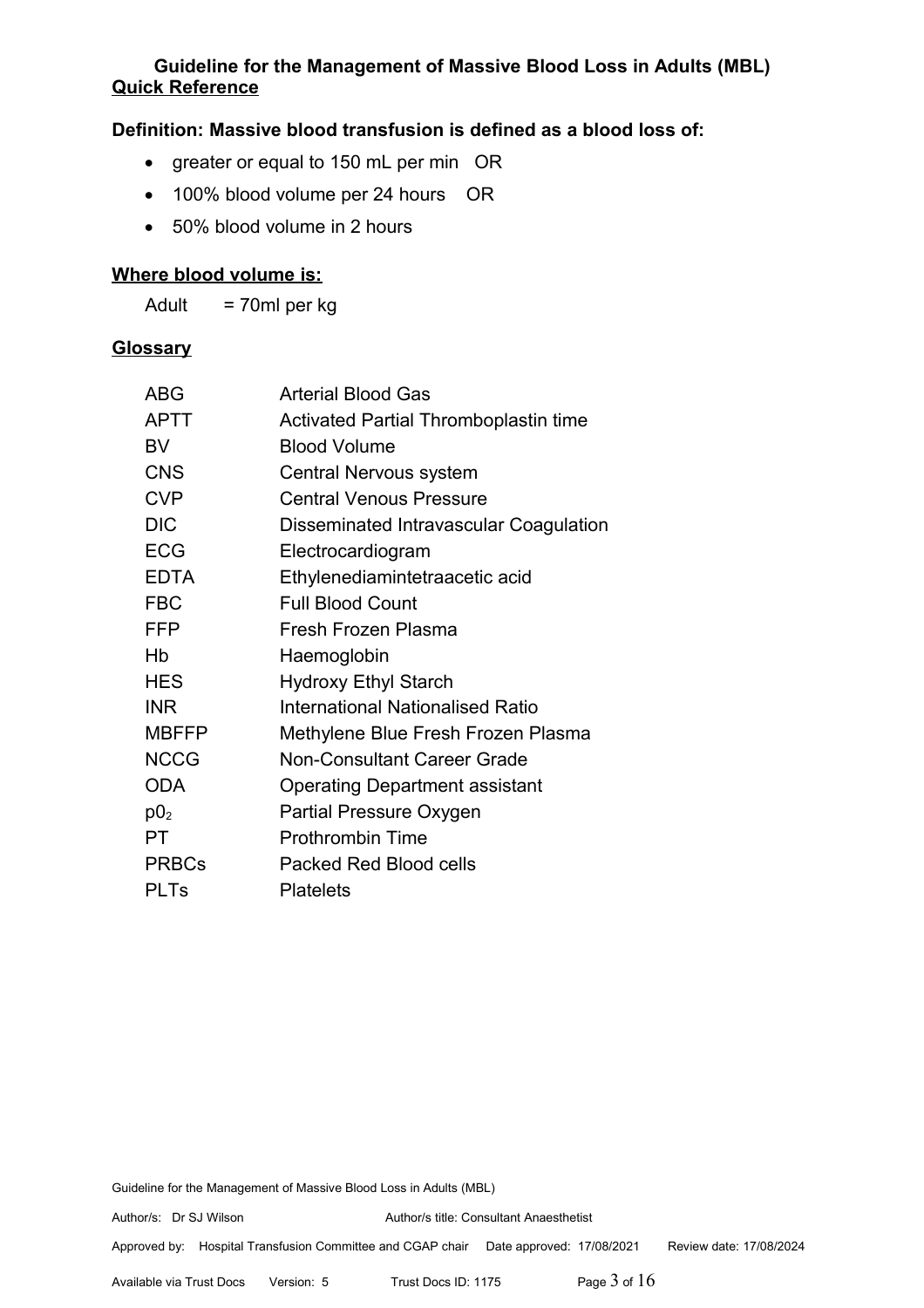# **Guideline for the Management of Massive Blood Loss in Adults (MBL) Quick Reference**

## **Definition: Massive blood transfusion is defined as a blood loss of:**

- · greater or equal to 150 mL per min OR
- 100% blood volume per 24 hours OR
- · 50% blood volume in 2 hours

# **Where blood volume is:**

Adult = 70ml per kg

#### **Glossary**

| <b>Arterial Blood Gas</b>              |  |
|----------------------------------------|--|
| Activated Partial Thromboplastin time  |  |
| <b>Blood Volume</b>                    |  |
| Central Nervous system                 |  |
| <b>Central Venous Pressure</b>         |  |
| Disseminated Intravascular Coagulation |  |
| Electrocardiogram                      |  |
| Ethylenediamintetraacetic acid         |  |
| <b>Full Blood Count</b>                |  |
| Fresh Frozen Plasma                    |  |
| Haemoglobin                            |  |
| <b>Hydroxy Ethyl Starch</b>            |  |
| International Nationalised Ratio       |  |
| Methylene Blue Fresh Frozen Plasma     |  |
| <b>Non-Consultant Career Grade</b>     |  |
| <b>Operating Department assistant</b>  |  |
| Partial Pressure Oxygen                |  |
| <b>Prothrombin Time</b>                |  |
| Packed Red Blood cells                 |  |
| <b>Platelets</b>                       |  |
|                                        |  |

Guideline for the Management of Massive Blood Loss in Adults (MBL)

Approved by: Hospital Transfusion Committee and CGAP chair Date approved: 17/08/2021 Review date: 17/08/2024

Available via Trust Docs Version: 5 Trust Docs ID: 1175 Page 3 of 16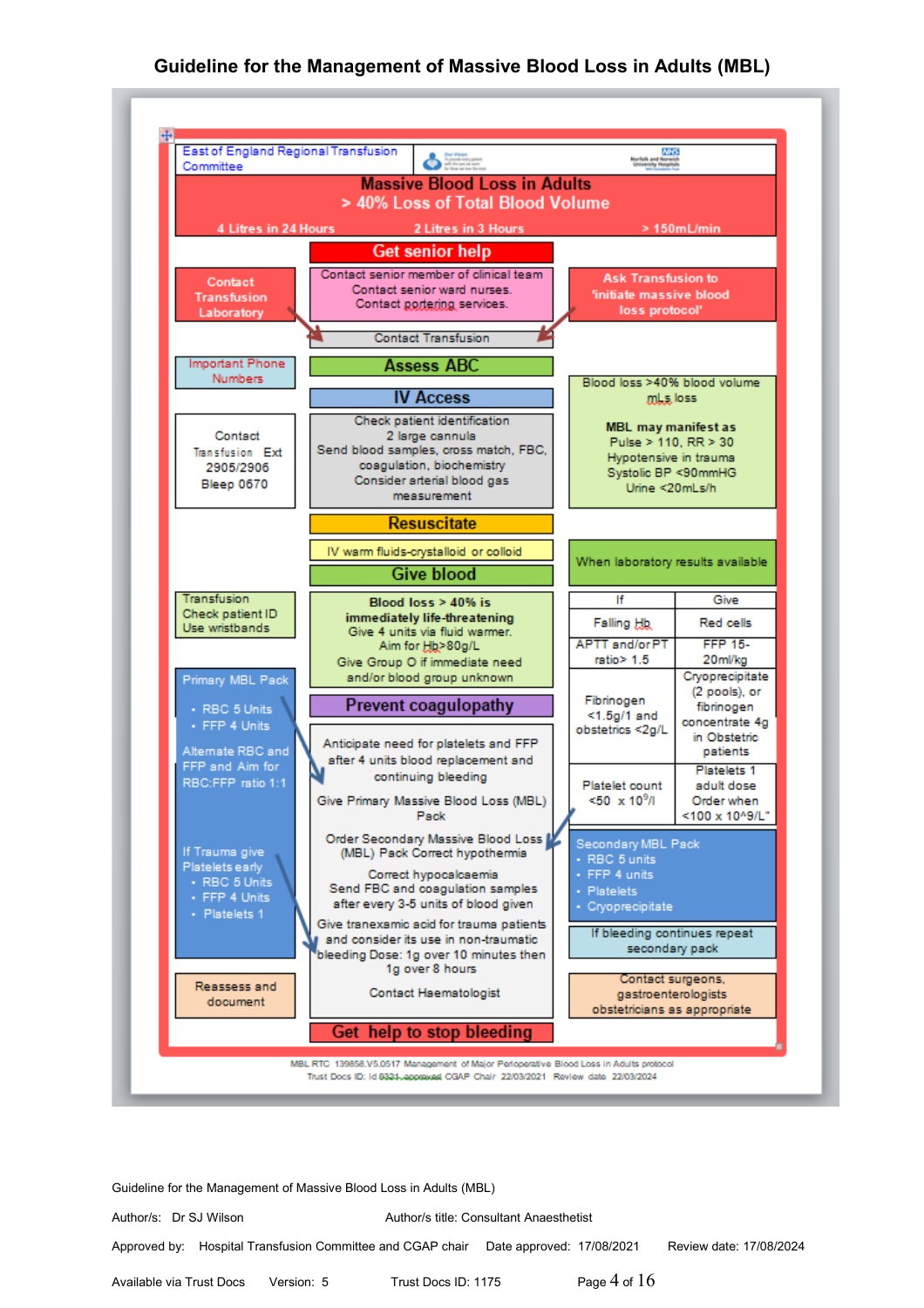

Guideline for the Management of Massive Blood Loss in Adults (MBL)

Author/s: Dr SJ Wilson Author/s title: Consultant Anaesthetist

Approved by: Hospital Transfusion Committee and CGAP chair Date approved: 17/08/2021 Review date: 17/08/2024

Available via Trust Docs Version: 5 Trust Docs ID: 1175 **Page 4 of 16**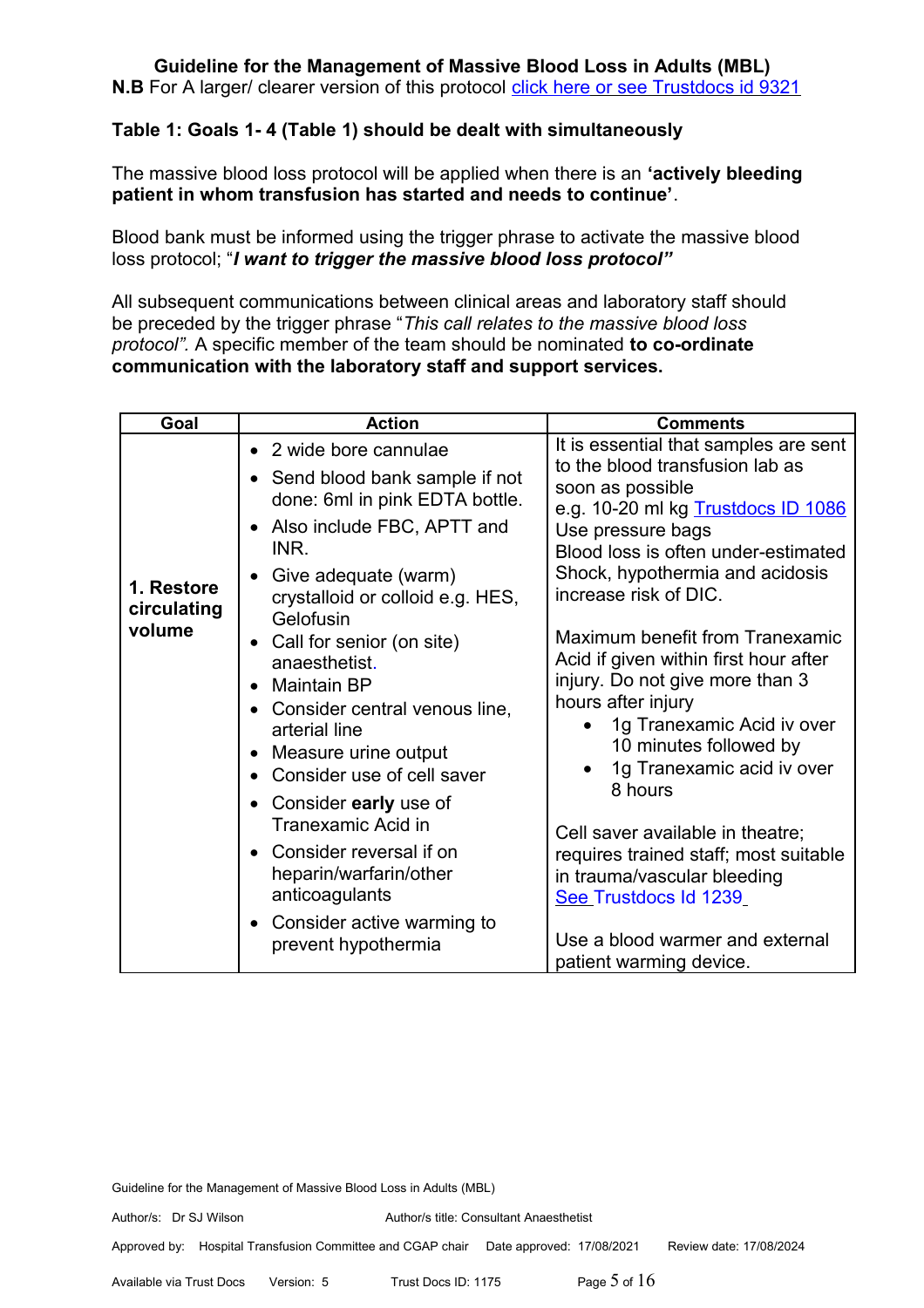**N.B** For A larger/ clearer version of this protocol [click here](http://nnvmwebapps01/TrustDocs/Doc.aspx?id=9321) or see Trustdocs id 9321

# **Table 1: Goals 1- 4 (Table 1) should be dealt with simultaneously**

The massive blood loss protocol will be applied when there is an **'actively bleeding patient in whom transfusion has started and needs to continue'**.

Blood bank must be informed using the trigger phrase to activate the massive blood loss protocol; "*I want to trigger the massive blood loss protocol"*

All subsequent communications between clinical areas and laboratory staff should be preceded by the trigger phrase "*This call relates to the massive blood loss protocol".* A specific member of the team should be nominated **to co-ordinate communication with the laboratory staff and support services.**

| Goal                                | <b>Action</b>                                                                                                                                                                                                                                                                                                                                                                                                                                                                                                                                                      | <b>Comments</b>                                                                                                                                                                                                                                                                                                                                                                                                                                                                                                                                                                                                                                                                                     |
|-------------------------------------|--------------------------------------------------------------------------------------------------------------------------------------------------------------------------------------------------------------------------------------------------------------------------------------------------------------------------------------------------------------------------------------------------------------------------------------------------------------------------------------------------------------------------------------------------------------------|-----------------------------------------------------------------------------------------------------------------------------------------------------------------------------------------------------------------------------------------------------------------------------------------------------------------------------------------------------------------------------------------------------------------------------------------------------------------------------------------------------------------------------------------------------------------------------------------------------------------------------------------------------------------------------------------------------|
| 1. Restore<br>circulating<br>volume | • 2 wide bore cannulae<br>Send blood bank sample if not<br>done: 6ml in pink EDTA bottle.<br>• Also include FBC, APTT and<br>INR.<br>Give adequate (warm)<br>crystalloid or colloid e.g. HES,<br>Gelofusin<br>Call for senior (on site)<br>anaesthetist.<br>• Maintain BP<br>Consider central venous line,<br>arterial line<br>Measure urine output<br>Consider use of cell saver<br>• Consider early use of<br>Tranexamic Acid in<br>• Consider reversal if on<br>heparin/warfarin/other<br>anticoagulants<br>• Consider active warming to<br>prevent hypothermia | It is essential that samples are sent<br>to the blood transfusion lab as<br>soon as possible<br>e.g. 10-20 ml kg Trustdocs ID 1086<br>Use pressure bags<br>Blood loss is often under-estimated<br>Shock, hypothermia and acidosis<br>increase risk of DIC.<br>Maximum benefit from Tranexamic<br>Acid if given within first hour after<br>injury. Do not give more than 3<br>hours after injury<br>1g Tranexamic Acid iv over<br>10 minutes followed by<br>1g Tranexamic acid iv over<br>8 hours<br>Cell saver available in theatre;<br>requires trained staff; most suitable<br>in trauma/vascular bleeding<br>See Trustdocs Id 1239<br>Use a blood warmer and external<br>patient warming device. |

Guideline for the Management of Massive Blood Loss in Adults (MBL)

Approved by: Hospital Transfusion Committee and CGAP chair Date approved: 17/08/2021 Review date: 17/08/2024

Available via Trust Docs Version: 5 Trust Docs ID: 1175Page 5 of 16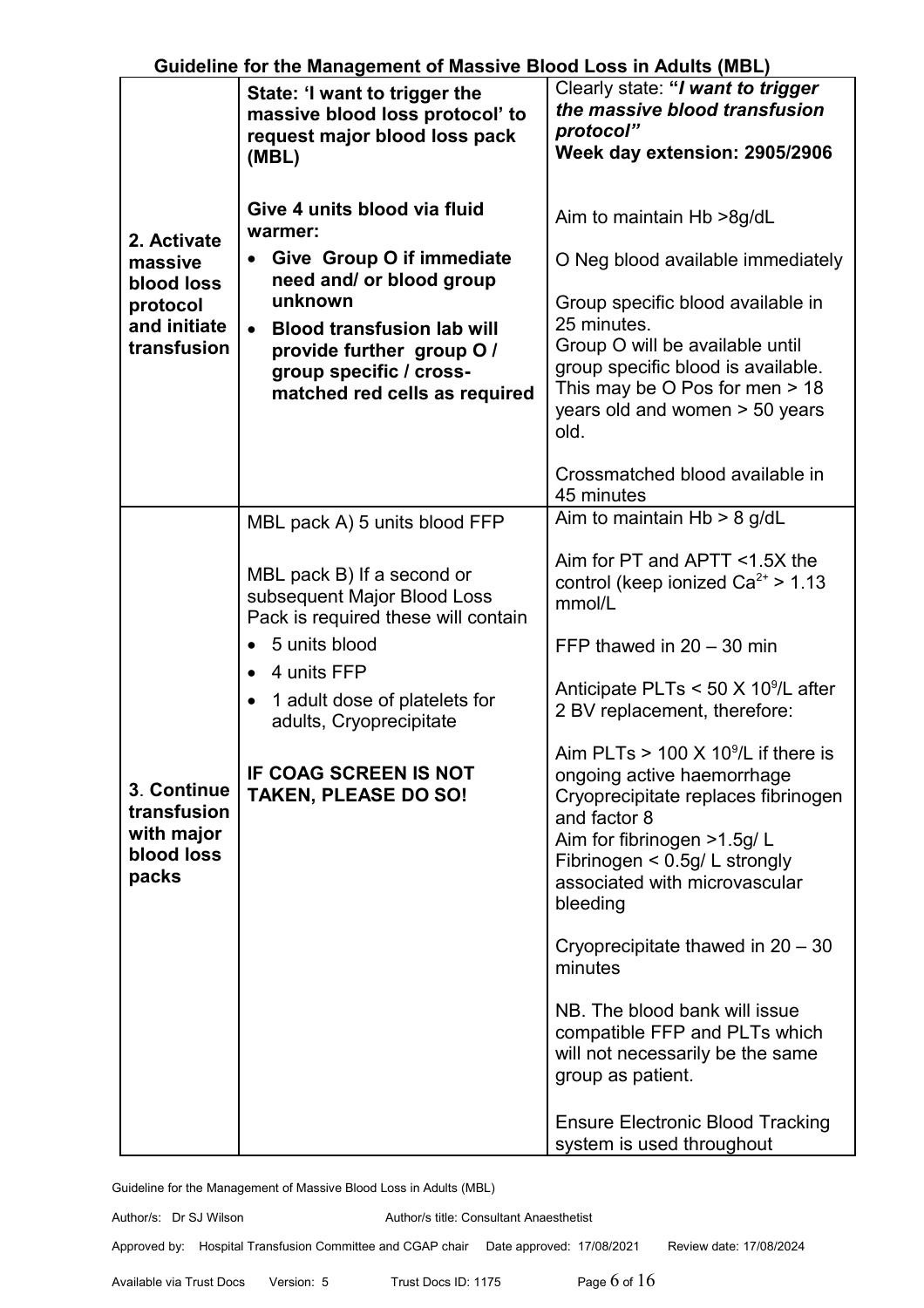|                                                                 | Guidenne for the management of massive Diood Loss in Addits (mDL)                                          |                                                                                                                                                                                                                                              |
|-----------------------------------------------------------------|------------------------------------------------------------------------------------------------------------|----------------------------------------------------------------------------------------------------------------------------------------------------------------------------------------------------------------------------------------------|
|                                                                 | State: 'I want to trigger the<br>massive blood loss protocol' to<br>request major blood loss pack<br>(MBL) | Clearly state: "I want to trigger<br>the massive blood transfusion<br>protocol"<br>Week day extension: 2905/2906                                                                                                                             |
| 2. Activate                                                     | Give 4 units blood via fluid<br>warmer:                                                                    | Aim to maintain Hb >8g/dL                                                                                                                                                                                                                    |
| massive<br>blood loss                                           | Give Group O if immediate<br>$\bullet$<br>need and/ or blood group                                         | O Neg blood available immediately                                                                                                                                                                                                            |
| protocol<br>and initiate                                        | unknown<br><b>Blood transfusion lab will</b><br>$\bullet$                                                  | Group specific blood available in<br>25 minutes.                                                                                                                                                                                             |
| transfusion                                                     | provide further group O /                                                                                  | Group O will be available until<br>group specific blood is available.                                                                                                                                                                        |
|                                                                 | group specific / cross-<br>matched red cells as required                                                   | This may be $O$ Pos for men $> 18$<br>years old and women > 50 years<br>old.                                                                                                                                                                 |
|                                                                 |                                                                                                            | Crossmatched blood available in<br>45 minutes                                                                                                                                                                                                |
|                                                                 | MBL pack A) 5 units blood FFP                                                                              | Aim to maintain Hb > 8 g/dL                                                                                                                                                                                                                  |
|                                                                 | MBL pack B) If a second or<br>subsequent Major Blood Loss<br>Pack is required these will contain           | Aim for PT and APTT <1.5X the<br>control (keep ionized $Ca^{2+} > 1.13$<br>mmol/L                                                                                                                                                            |
|                                                                 | 5 units blood                                                                                              | FFP thawed in $20 - 30$ min                                                                                                                                                                                                                  |
| 3. Continue<br>transfusion<br>with major<br>blood loss<br>packs | 4 units FFP<br>1 adult dose of platelets for<br>$\bullet$<br>adults, Cryoprecipitate                       | Anticipate PLTs $<$ 50 X 10 <sup>9</sup> /L after<br>2 BV replacement, therefore:                                                                                                                                                            |
|                                                                 | IF COAG SCREEN IS NOT<br><b>TAKEN, PLEASE DO SO!</b>                                                       | Aim PLTs $> 100 \times 10^9$ /L if there is<br>ongoing active haemorrhage<br>Cryoprecipitate replaces fibrinogen<br>and factor 8<br>Aim for fibrinogen >1.5g/L<br>Fibrinogen < 0.5g/ L strongly<br>associated with microvascular<br>bleeding |
|                                                                 |                                                                                                            | Cryoprecipitate thawed in $20 - 30$<br>minutes                                                                                                                                                                                               |
|                                                                 |                                                                                                            | NB. The blood bank will issue<br>compatible FFP and PLTs which<br>will not necessarily be the same<br>group as patient.                                                                                                                      |
|                                                                 |                                                                                                            | <b>Ensure Electronic Blood Tracking</b><br>system is used throughout                                                                                                                                                                         |

Author/s: Dr SJ Wilson Author/s title: Consultant Anaesthetist Approved by: Hospital Transfusion Committee and CGAP chair Date approved: 17/08/2021 Review date: 17/08/2024

Available via Trust Docs Version: 5 Trust Docs ID: 1175 **Page 6 of 16**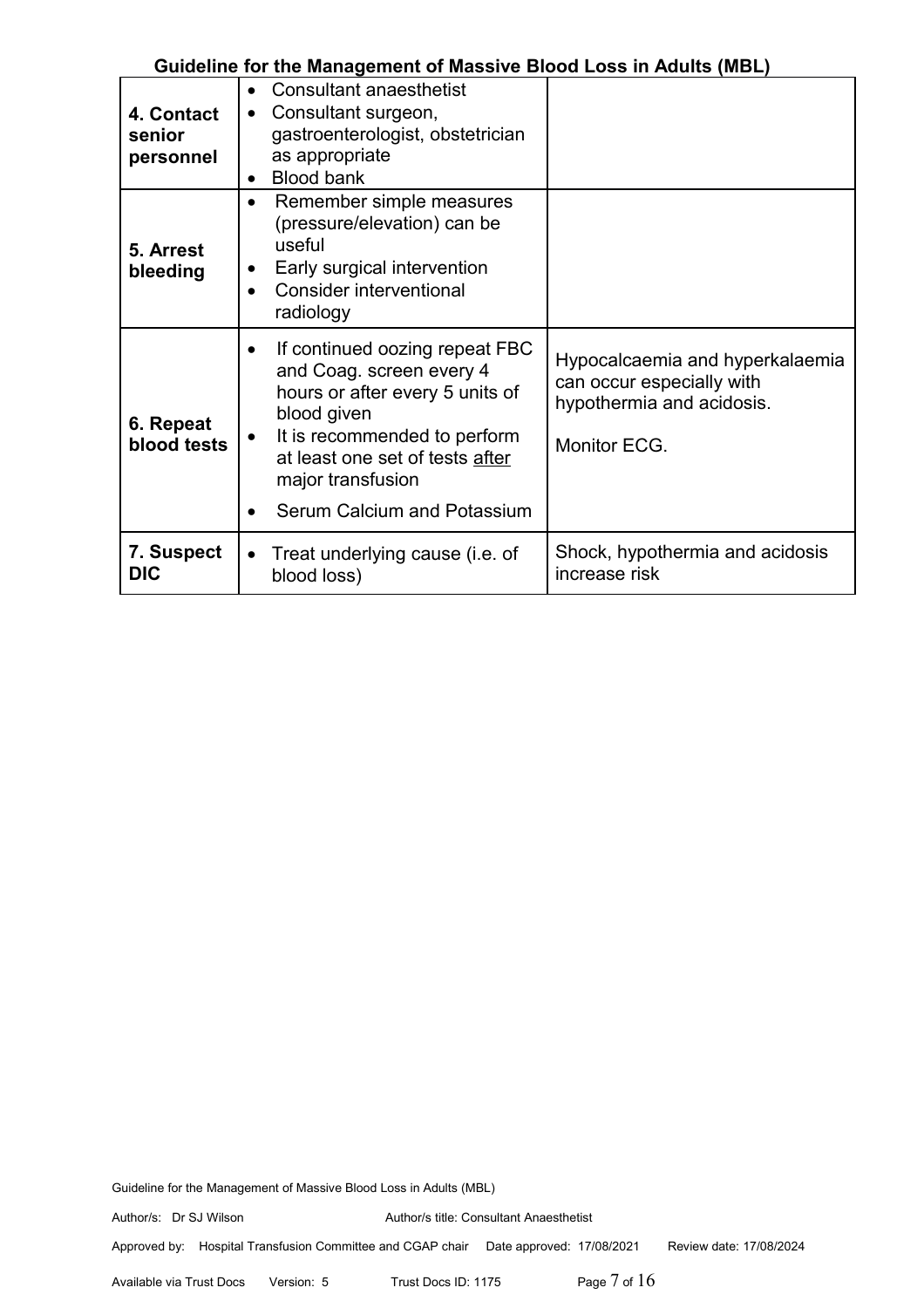| 4. Contact<br>senior<br>personnel | <b>Consultant anaesthetist</b><br>$\bullet$<br>Consultant surgeon,<br>$\bullet$<br>gastroenterologist, obstetrician<br>as appropriate<br><b>Blood bank</b><br>$\bullet$                                                                                       |                                                                                                           |
|-----------------------------------|---------------------------------------------------------------------------------------------------------------------------------------------------------------------------------------------------------------------------------------------------------------|-----------------------------------------------------------------------------------------------------------|
| 5. Arrest<br>bleeding             | Remember simple measures<br>$\bullet$<br>(pressure/elevation) can be<br>useful<br>Early surgical intervention<br>Consider interventional<br>radiology                                                                                                         |                                                                                                           |
| 6. Repeat<br>blood tests          | If continued oozing repeat FBC<br>$\bullet$<br>and Coag. screen every 4<br>hours or after every 5 units of<br>blood given<br>It is recommended to perform<br>$\bullet$<br>at least one set of tests after<br>major transfusion<br>Serum Calcium and Potassium | Hypocalcaemia and hyperkalaemia<br>can occur especially with<br>hypothermia and acidosis.<br>Monitor ECG. |
| 7. Suspect<br><b>DIC</b>          | Treat underlying cause (i.e. of<br>$\bullet$<br>blood loss)                                                                                                                                                                                                   | Shock, hypothermia and acidosis<br>increase risk                                                          |

Guideline for the Management of Massive Blood Loss in Adults (MBL)

Approved by: Hospital Transfusion Committee and CGAP chair Date approved: 17/08/2021 Review date: 17/08/2024

Available via Trust Docs Version: 5 Trust Docs ID: 1175 **Page 7 of 16**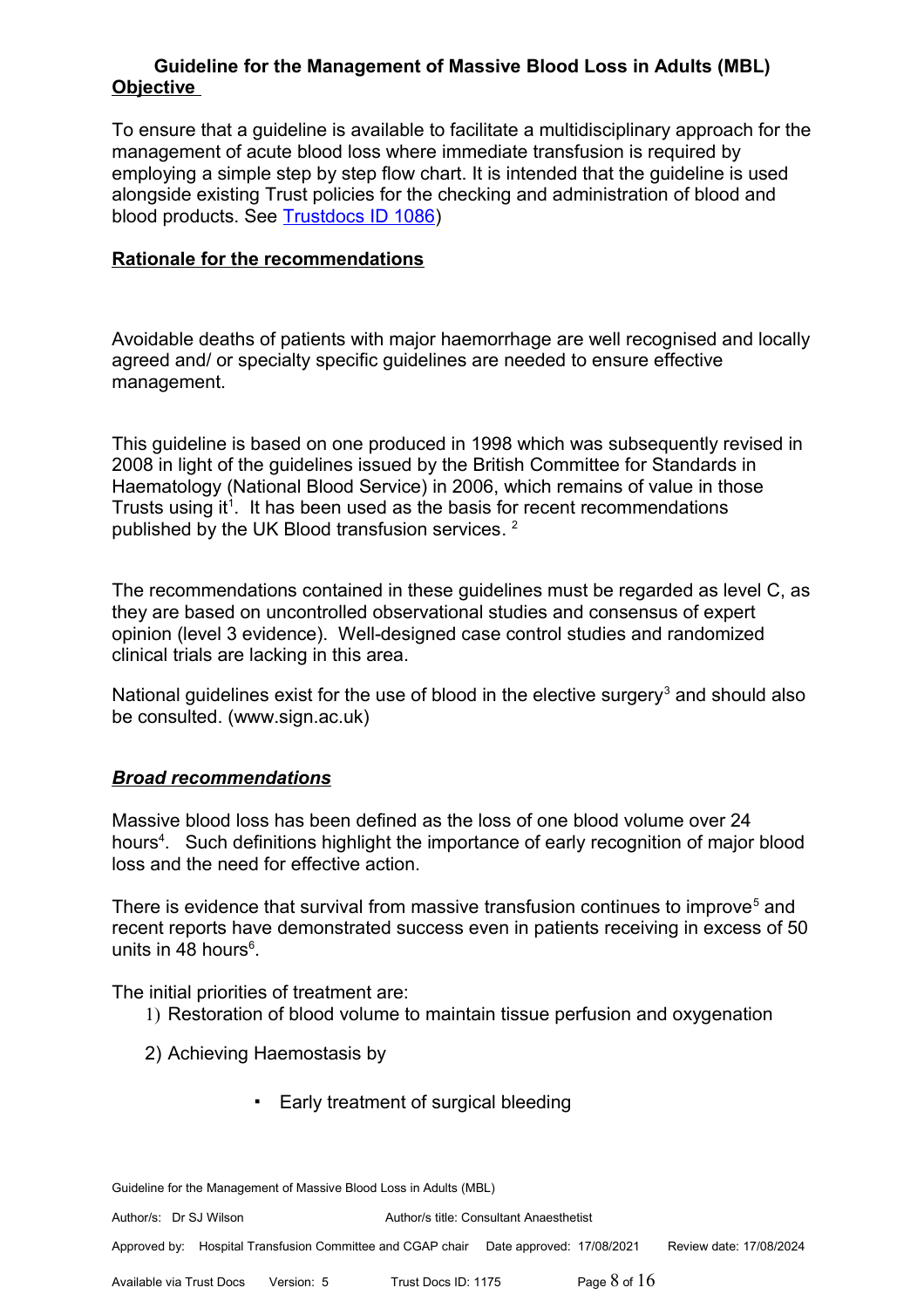To ensure that a guideline is available to facilitate a multidisciplinary approach for the management of acute blood loss where immediate transfusion is required by employing a simple step by step flow chart. It is intended that the guideline is used alongside existing Trust policies for the checking and administration of blood and blood products. See [Trustdocs ID 1086\)](http://trustdocs/Doc.aspx?id=1086)

## **Rationale for the recommendations**

Avoidable deaths of patients with major haemorrhage are well recognised and locally agreed and/ or specialty specific guidelines are needed to ensure effective management.

This guideline is based on one produced in 1998 which was subsequently revised in 2008 in light of the guidelines issued by the British Committee for Standards in Haematology (National Blood Service) in 2006, which remains of value in those Trusts using it<sup>1</sup>. It has been used as the basis for recent recommendations published by the UK Blood transfusion services.  $^2$ 

The recommendations contained in these guidelines must be regarded as level C, as they are based on uncontrolled observational studies and consensus of expert opinion (level 3 evidence). Well-designed case control studies and randomized clinical trials are lacking in this area.

National guidelines exist for the use of blood in the elective surgery<sup>3</sup> and should also be consulted. (www.sign.ac.uk)

## *Broad recommendations*

Massive blood loss has been defined as the loss of one blood volume over 24 hours<sup>4</sup>. Such definitions highlight the importance of early recognition of major blood loss and the need for effective action.

There is evidence that survival from massive transfusion continues to improve<sup>5</sup> and recent reports have demonstrated success even in patients receiving in excess of 50 units in 48 hours<sup>6</sup>.

The initial priorities of treatment are:

- 1) Restoration of blood volume to maintain tissue perfusion and oxygenation
- 2) Achieving Haemostasis by
	- Early treatment of surgical bleeding

Guideline for the Management of Massive Blood Loss in Adults (MBL)

Author/s: Dr SJ Wilson Author/s title: Consultant Anaesthetist

Approved by: Hospital Transfusion Committee and CGAP chair Date approved: 17/08/2021 Review date: 17/08/2024

Available via Trust Docs Version: 5 Trust Docs ID: 1175Page 8 of 16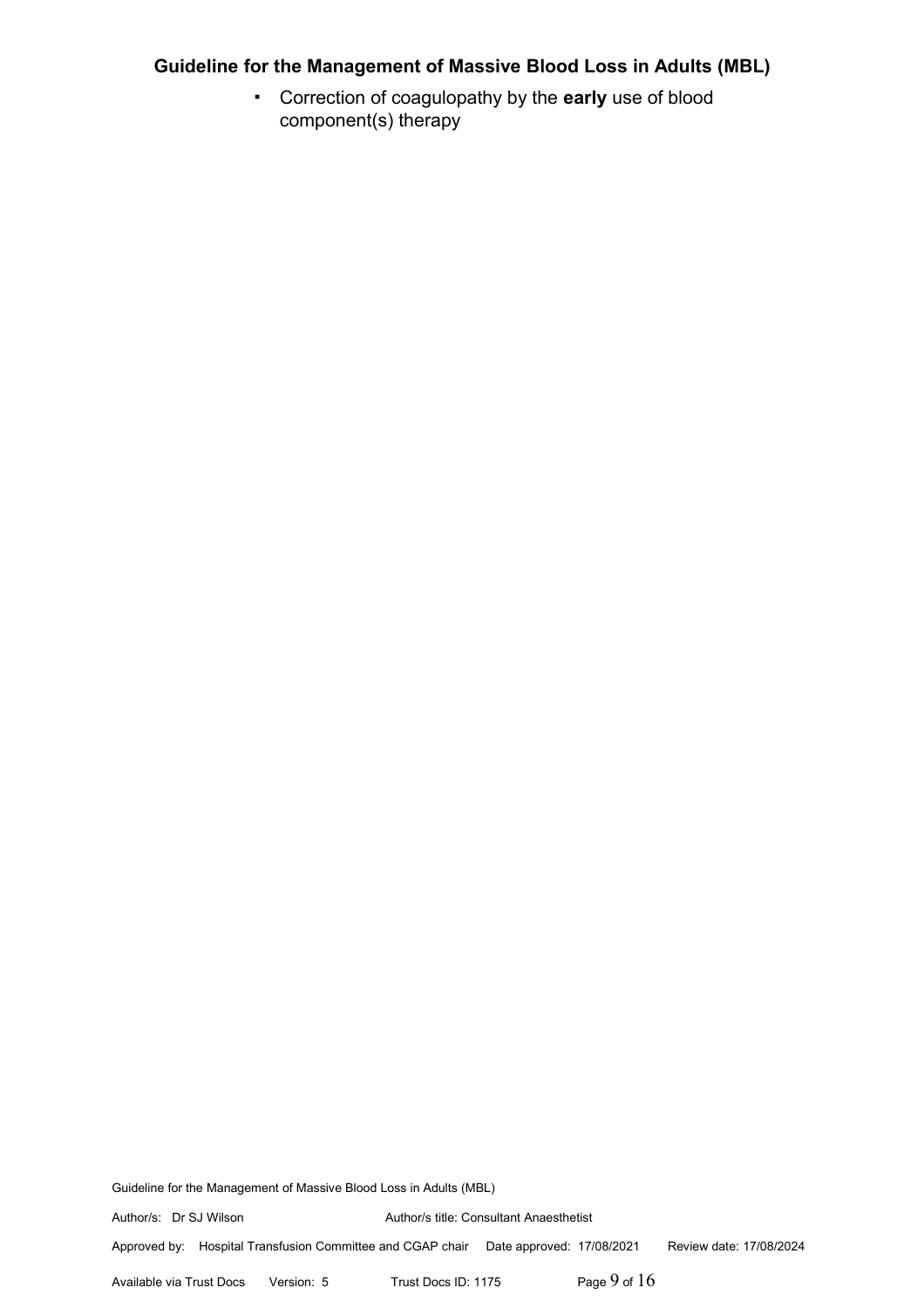▪ Correction of coagulopathy by the **early** use of blood component(s) therapy

Guideline for the Management of Massive Blood Loss in Adults (MBL)

Author/s: Dr SJ Wilson Author/s title: Consultant Anaesthetist

Approved by: Hospital Transfusion Committee and CGAP chair Date approved: 17/08/2021 Review date: 17/08/2024

Available via Trust Docs Version: 5 Trust Docs ID: 1175 **Page 9 of 16**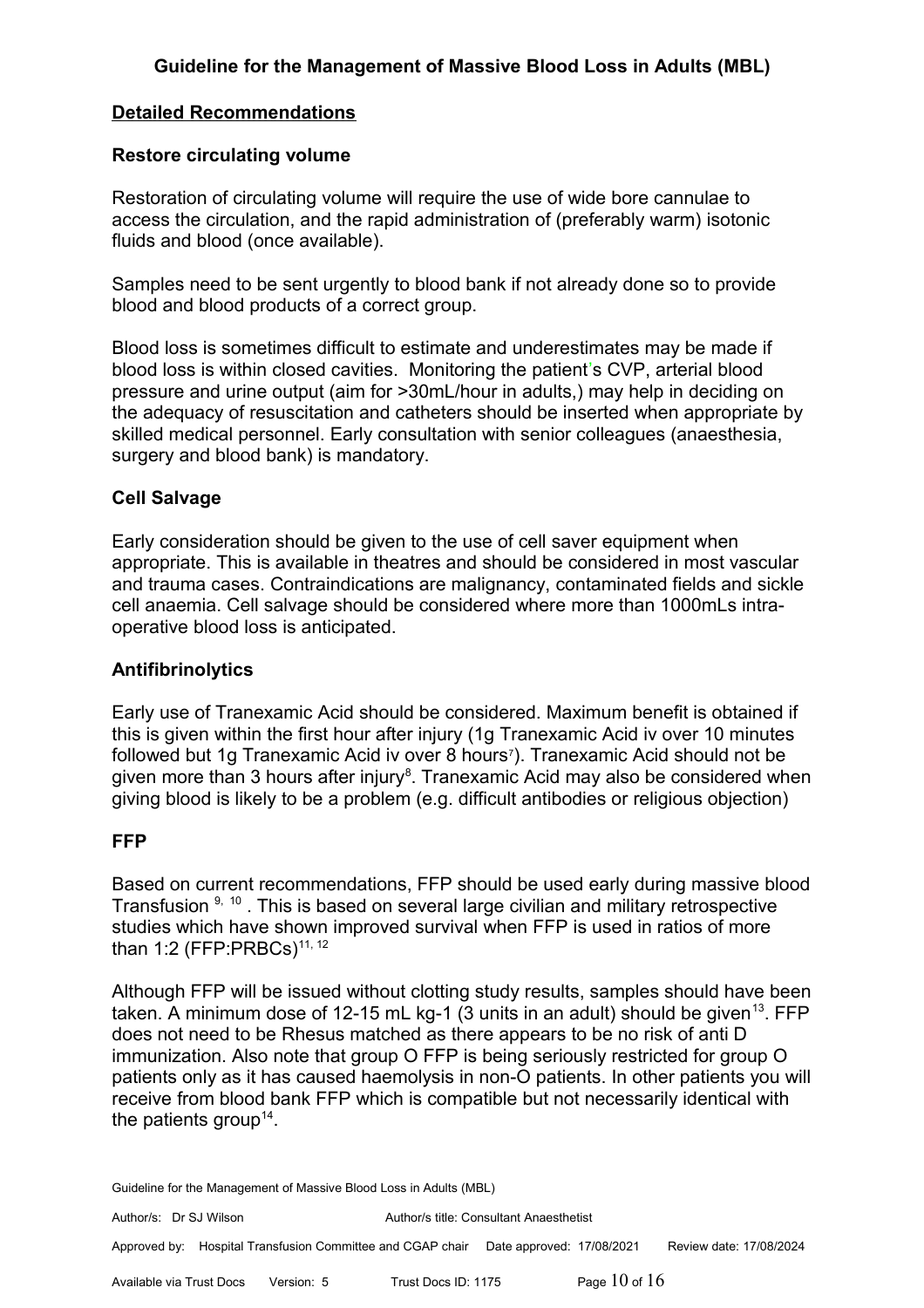# **Detailed Recommendations**

## **Restore circulating volume**

Restoration of circulating volume will require the use of wide bore cannulae to access the circulation, and the rapid administration of (preferably warm) isotonic fluids and blood (once available).

Samples need to be sent urgently to blood bank if not already done so to provide blood and blood products of a correct group.

Blood loss is sometimes difficult to estimate and underestimates may be made if blood loss is within closed cavities. Monitoring the patient's CVP, arterial blood pressure and urine output (aim for >30mL/hour in adults,) may help in deciding on the adequacy of resuscitation and catheters should be inserted when appropriate by skilled medical personnel. Early consultation with senior colleagues (anaesthesia, surgery and blood bank) is mandatory.

#### **Cell Salvage**

Early consideration should be given to the use of cell saver equipment when appropriate. This is available in theatres and should be considered in most vascular and trauma cases. Contraindications are malignancy, contaminated fields and sickle cell anaemia. Cell salvage should be considered where more than 1000mLs intraoperative blood loss is anticipated.

#### **Antifibrinolytics**

Early use of Tranexamic Acid should be considered. Maximum benefit is obtained if this is given within the first hour after injury (1g Tranexamic Acid iv over 10 minutes followed but 1g Tranexamic Acid iv over 8 hours<sup>7</sup>). Tranexamic Acid should not be given more than 3 hours after injury<sup>8</sup>. Tranexamic Acid may also be considered when giving blood is likely to be a problem (e.g. difficult antibodies or religious objection)

## **FFP**

Based on current recommendations, FFP should be used early during massive blood Transfusion <sup>9, 10</sup>. This is based on several large civilian and military retrospective studies which have shown improved survival when FFP is used in ratios of more than 1:2 (FFP:PRBCs)<sup>11, 12</sup>

Although FFP will be issued without clotting study results, samples should have been taken. A minimum dose of 12-15 mL kg-1 (3 units in an adult) should be given<sup>13</sup>. FFP does not need to be Rhesus matched as there appears to be no risk of anti D immunization. Also note that group O FFP is being seriously restricted for group O patients only as it has caused haemolysis in non-O patients. In other patients you will receive from blood bank FFP which is compatible but not necessarily identical with the patients group<sup>14</sup>.

Guideline for the Management of Massive Blood Loss in Adults (MBL)

Author/s: Dr SJ Wilson Author/s title: Consultant Anaesthetist Approved by: Hospital Transfusion Committee and CGAP chair Date approved: 17/08/2021 Review date: 17/08/2024

Available via Trust Docs Version: 5 Trust Docs ID: 1175 **Page 10 of 16**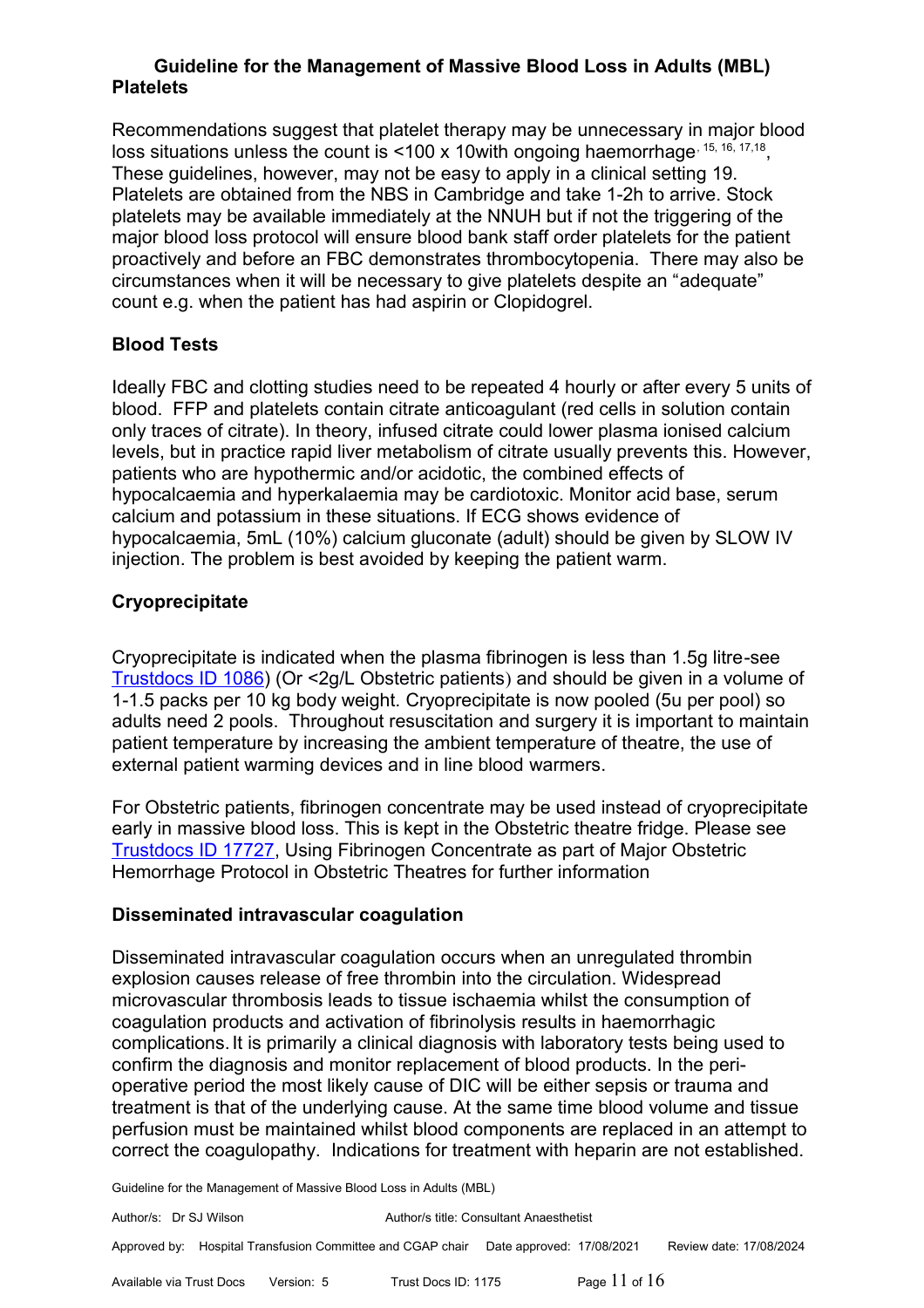Recommendations suggest that platelet therapy may be unnecessary in major blood loss situations unless the count is <100 x 10 with ongoing haemorrhage,  $15, 16, 17, 18$ , These guidelines, however, may not be easy to apply in a clinical setting 19. Platelets are obtained from the NBS in Cambridge and take 1-2h to arrive. Stock platelets may be available immediately at the NNUH but if not the triggering of the major blood loss protocol will ensure blood bank staff order platelets for the patient proactively and before an FBC demonstrates thrombocytopenia. There may also be circumstances when it will be necessary to give platelets despite an "adequate" count e.g. when the patient has had aspirin or Clopidogrel.

# **Blood Tests**

Ideally FBC and clotting studies need to be repeated 4 hourly or after every 5 units of blood. FFP and platelets contain citrate anticoagulant (red cells in solution contain only traces of citrate). In theory, infused citrate could lower plasma ionised calcium levels, but in practice rapid liver metabolism of citrate usually prevents this. However, patients who are hypothermic and/or acidotic, the combined effects of hypocalcaemia and hyperkalaemia may be cardiotoxic. Monitor acid base, serum calcium and potassium in these situations. If ECG shows evidence of hypocalcaemia, 5mL (10%) calcium gluconate (adult) should be given by SLOW IV injection. The problem is best avoided by keeping the patient warm.

# **Cryoprecipitate**

Cryoprecipitate is indicated when the plasma fibrinogen is less than 1.5g litre-see [Trustdocs ID 1086\)](http://trustdocs/Doc.aspx?id=1086) (Or <2g/L Obstetric patients) and should be given in a volume of 1-1.5 packs per 10 kg body weight. Cryoprecipitate is now pooled (5u per pool) so adults need 2 pools. Throughout resuscitation and surgery it is important to maintain patient temperature by increasing the ambient temperature of theatre, the use of external patient warming devices and in line blood warmers.

For Obstetric patients, fibrinogen concentrate may be used instead of cryoprecipitate early in massive blood loss. This is kept in the Obstetric theatre fridge. Please see [Trustdocs ID 17727,](http://trustdocs/Doc.aspx?id=17727) Using Fibrinogen Concentrate as part of Major Obstetric Hemorrhage Protocol in Obstetric Theatres for further information

# **Disseminated intravascular coagulation**

Disseminated intravascular coagulation occurs when an unregulated thrombin explosion causes release of free thrombin into the circulation. Widespread microvascular thrombosis leads to tissue ischaemia whilst the consumption of coagulation products and activation of fibrinolysis results in haemorrhagic complications.It is primarily a clinical diagnosis with laboratory tests being used to confirm the diagnosis and monitor replacement of blood products. In the perioperative period the most likely cause of DIC will be either sepsis or trauma and treatment is that of the underlying cause. At the same time blood volume and tissue perfusion must be maintained whilst blood components are replaced in an attempt to correct the coagulopathy. Indications for treatment with heparin are not established.

Guideline for the Management of Massive Blood Loss in Adults (MBL)

Author/s: Dr SJ Wilson Author/s title: Consultant Anaesthetist Approved by: Hospital Transfusion Committee and CGAP chair Date approved: 17/08/2021 Review date: 17/08/2024

Available via Trust Docs Version: 5 Trust Docs ID: 1175 **Page 11 of 16**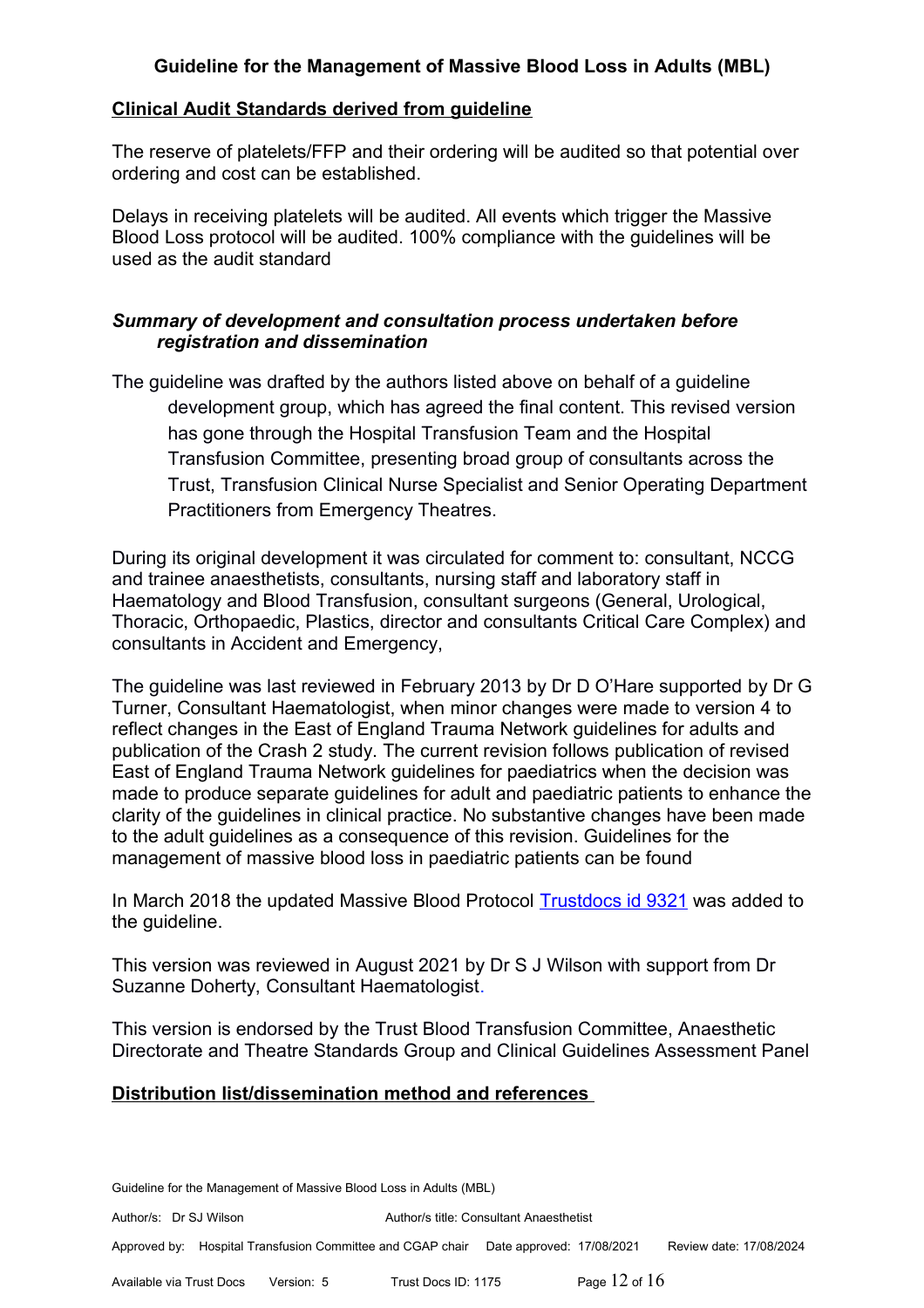## **Clinical Audit Standards derived from guideline**

The reserve of platelets/FFP and their ordering will be audited so that potential over ordering and cost can be established.

Delays in receiving platelets will be audited. All events which trigger the Massive Blood Loss protocol will be audited. 100% compliance with the guidelines will be used as the audit standard

## *Summary of development and consultation process undertaken before registration and dissemination*

The guideline was drafted by the authors listed above on behalf of a guideline development group, which has agreed the final content. This revised version has gone through the Hospital Transfusion Team and the Hospital Transfusion Committee, presenting broad group of consultants across the Trust, Transfusion Clinical Nurse Specialist and Senior Operating Department Practitioners from Emergency Theatres.

During its original development it was circulated for comment to: consultant, NCCG and trainee anaesthetists, consultants, nursing staff and laboratory staff in Haematology and Blood Transfusion, consultant surgeons (General, Urological, Thoracic, Orthopaedic, Plastics, director and consultants Critical Care Complex) and consultants in Accident and Emergency,

The guideline was last reviewed in February 2013 by Dr D O'Hare supported by Dr G Turner, Consultant Haematologist, when minor changes were made to version 4 to reflect changes in the East of England Trauma Network guidelines for adults and publication of the Crash 2 study. The current revision follows publication of revised East of England Trauma Network guidelines for paediatrics when the decision was made to produce separate guidelines for adult and paediatric patients to enhance the clarity of the guidelines in clinical practice. No substantive changes have been made to the adult guidelines as a consequence of this revision. Guidelines for the management of massive blood loss in paediatric patients can be found

In March 2018 the updated Massive Blood Protocol [Trustdocs id 9321](http://trustdocs/ViewDocVersion.aspx?id=9321&vid=3) was added to the guideline.

This version was reviewed in August 2021 by Dr S J Wilson with support from Dr Suzanne Doherty, Consultant Haematologist.

This version is endorsed by the Trust Blood Transfusion Committee, Anaesthetic Directorate and Theatre Standards Group and Clinical Guidelines Assessment Panel

## **Distribution list/dissemination method and references**

Guideline for the Management of Massive Blood Loss in Adults (MBL)

Author/s: Dr SJ Wilson Author/s title: Consultant Anaesthetist

Approved by: Hospital Transfusion Committee and CGAP chair Date approved: 17/08/2021 Review date: 17/08/2024

Available via Trust Docs Version: 5 Trust Docs ID: 1175 Page 12 of 16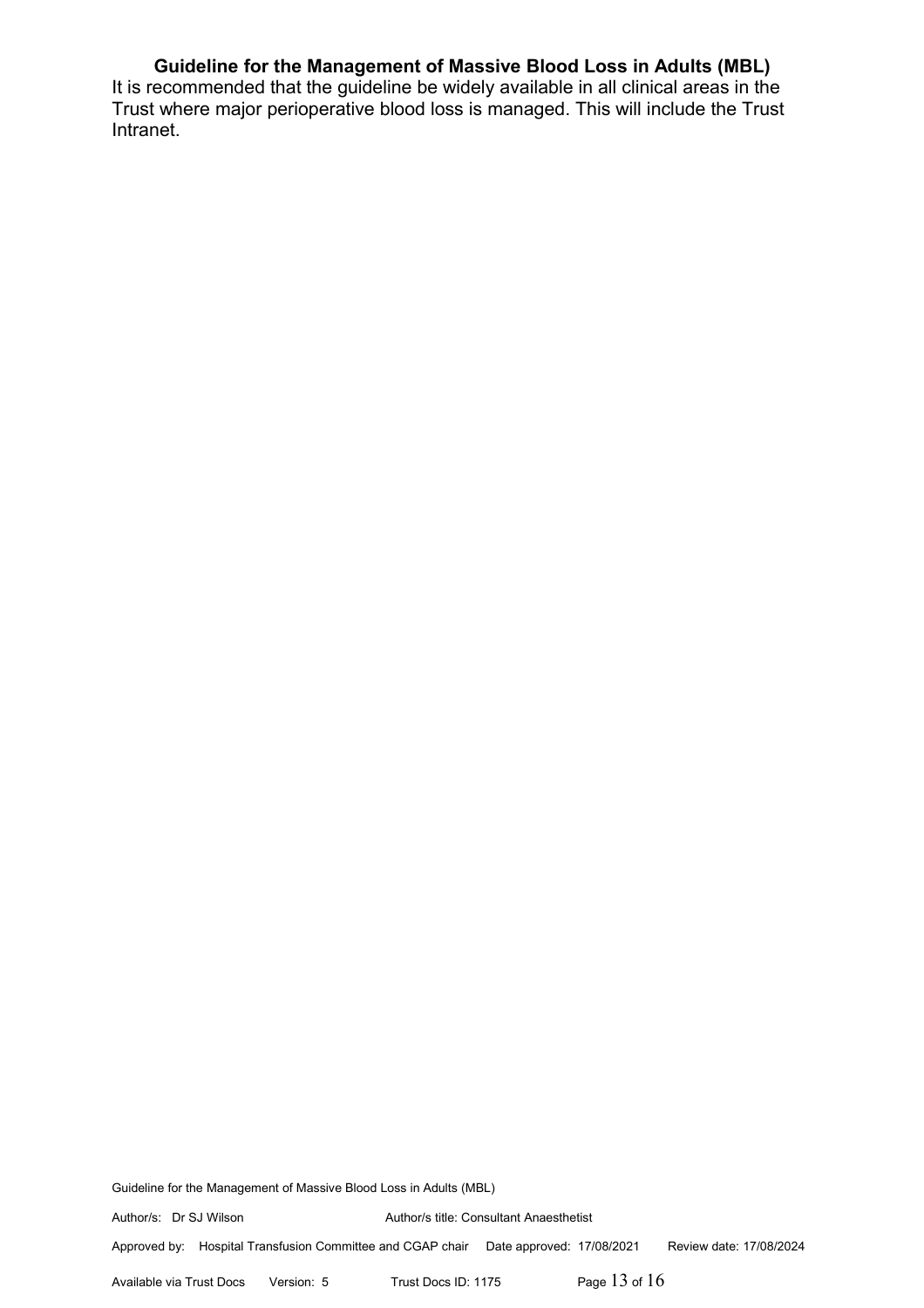It is recommended that the guideline be widely available in all clinical areas in the Trust where major perioperative blood loss is managed. This will include the Trust Intranet.

Guideline for the Management of Massive Blood Loss in Adults (MBL)

Author/s: Dr SJ Wilson Author/s title: Consultant Anaesthetist

Approved by: Hospital Transfusion Committee and CGAP chair Date approved: 17/08/2021 Review date: 17/08/2024

Available via Trust Docs Version: 5 Trust Docs ID: 1175 Page 13 of 16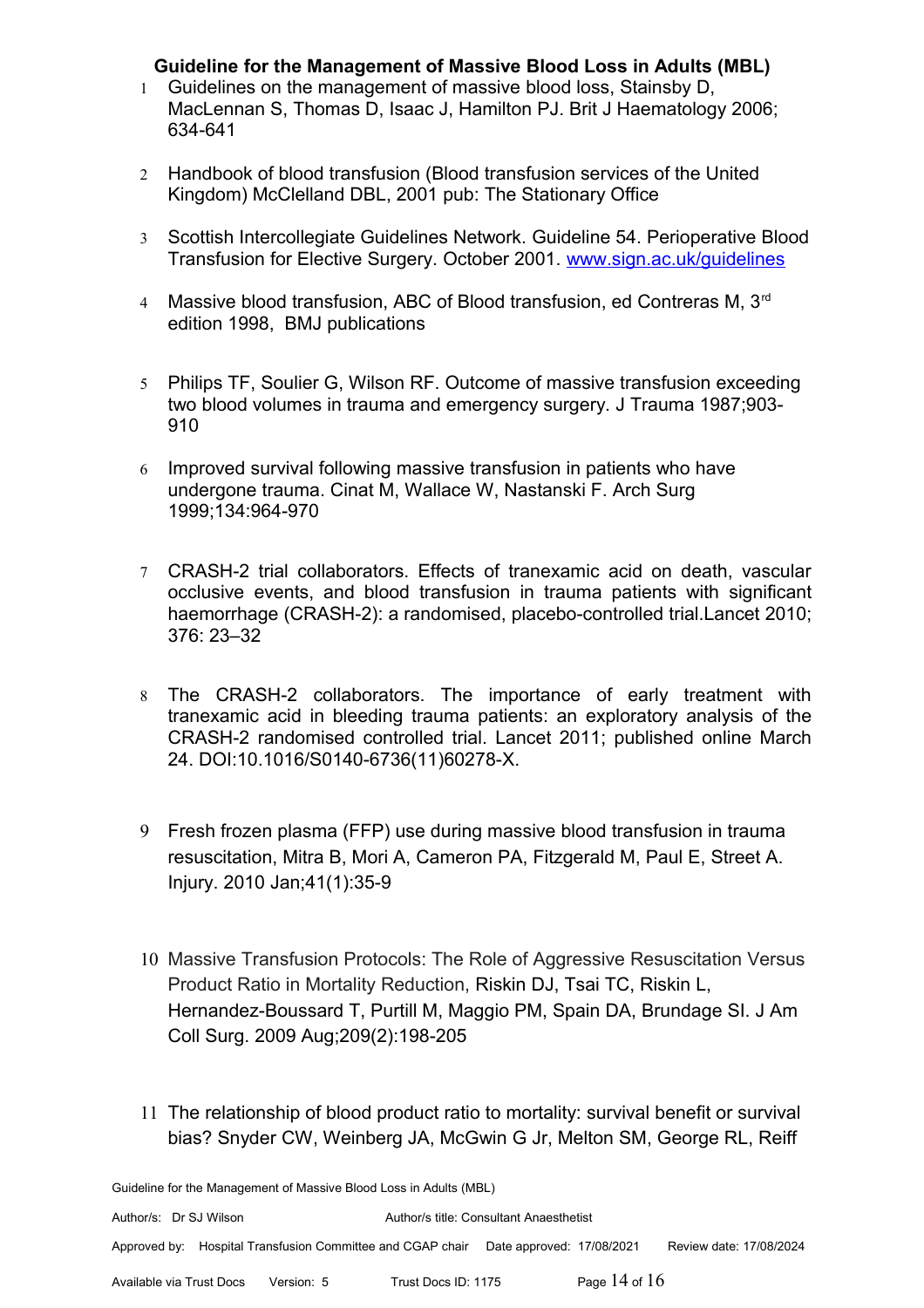- 1 Guidelines on the management of massive blood loss, Stainsby D, MacLennan S, Thomas D, Isaac J, Hamilton PJ. Brit J Haematology 2006; 634-641
- 2 Handbook of blood transfusion (Blood transfusion services of the United Kingdom) McClelland DBL, 2001 pub: The Stationary Office
- 3 Scottish Intercollegiate Guidelines Network. Guideline 54. Perioperative Blood Transfusion for Elective Surgery. October 2001. [www.sign.ac.uk/guidelines](http://www.sign.ac.uk/guidelines)
- 4 Massive blood transfusion, ABC of Blood transfusion, ed Contreras M, 3<sup>rd</sup> edition 1998, BMJ publications
- 5 Philips TF, Soulier G, Wilson RF. Outcome of massive transfusion exceeding two blood volumes in trauma and emergency surgery. J Trauma 1987;903- 910
- 6 Improved survival following massive transfusion in patients who have undergone trauma. Cinat M, Wallace W, Nastanski F. Arch Surg 1999;134:964-970
- 7 CRASH-2 trial collaborators. Effects of tranexamic acid on death, vascular occlusive events, and blood transfusion in trauma patients with significant haemorrhage (CRASH-2): a randomised, placebo-controlled trial.Lancet 2010; 376: 23–32
- 8 The CRASH-2 collaborators. The importance of early treatment with tranexamic acid in bleeding trauma patients: an exploratory analysis of the CRASH-2 randomised controlled trial. Lancet 2011; published online March 24. DOI:10.1016/S0140-6736(11)60278-X.
- 9 Fresh frozen plasma (FFP) use during massive blood transfusion in trauma resuscitation, Mitra B, Mori A, Cameron PA, Fitzgerald M, Paul E, Street A. Injury. 2010 Jan;41(1):35-9
- 10 Massive Transfusion Protocols: The Role of Aggressive Resuscitation Versus Product Ratio in Mortality Reduction, Riskin DJ, Tsai TC, Riskin L, Hernandez-Boussard T, Purtill M, Maggio PM, Spain DA, Brundage SI. J Am Coll Surg. 2009 Aug;209(2):198-205
- 11 The relationship of blood product ratio to mortality: survival benefit or survival bias? Snyder CW, Weinberg JA, McGwin G Jr, Melton SM, George RL, Reiff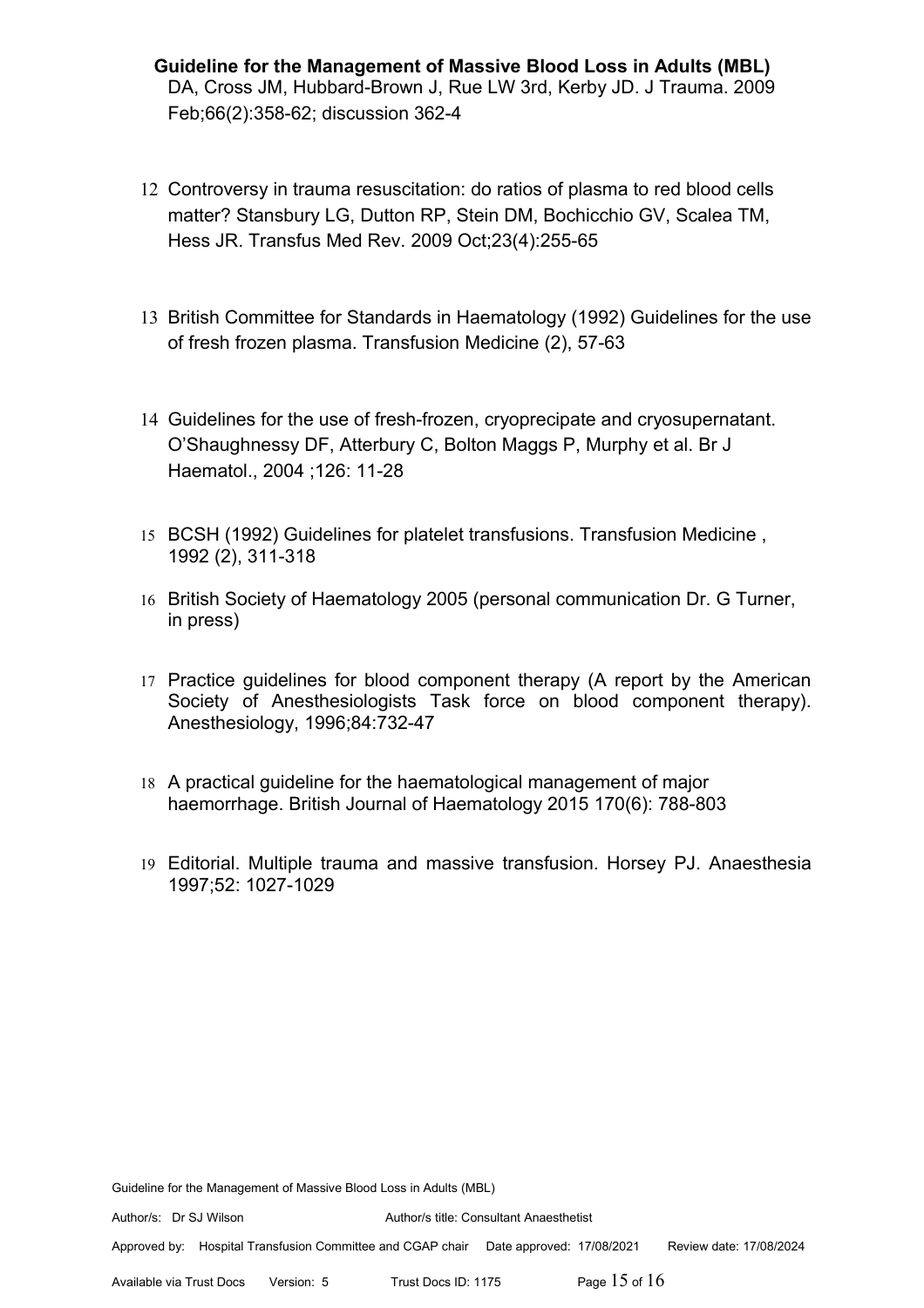- **Guideline for the Management of Massive Blood Loss in Adults (MBL)** DA, Cross JM, Hubbard-Brown J, Rue LW 3rd, Kerby JD. J Trauma. 2009 Feb;66(2):358-62; discussion 362-4
- 12 Controversy in trauma resuscitation: do ratios of plasma to red blood cells matter? Stansbury LG, Dutton RP, Stein DM, Bochicchio GV, Scalea TM, Hess JR. Transfus Med Rev. 2009 Oct;23(4):255-65
- 13 British Committee for Standards in Haematology (1992) Guidelines for the use of fresh frozen plasma. Transfusion Medicine (2), 57-63
- 14 Guidelines for the use of fresh-frozen, cryoprecipate and cryosupernatant. O'Shaughnessy DF, Atterbury C, Bolton Maggs P, Murphy et al. Br J Haematol., 2004 ;126: 11-28
- 15 BCSH (1992) Guidelines for platelet transfusions. Transfusion Medicine , 1992 (2), 311-318
- 16 British Society of Haematology 2005 (personal communication Dr. G Turner, in press)
- 17 Practice guidelines for blood component therapy (A report by the American Society of Anesthesiologists Task force on blood component therapy). Anesthesiology, 1996;84:732-47
- 18 A practical guideline for the haematological management of major haemorrhage. British Journal of Haematology 2015 170(6): 788-803
- 19 Editorial. Multiple trauma and massive transfusion. Horsey PJ. Anaesthesia 1997;52: 1027-1029

Author/s: Dr SJ Wilson Author/s title: Consultant Anaesthetist

Approved by: Hospital Transfusion Committee and CGAP chair Date approved: 17/08/2021 Review date: 17/08/2024

Available via Trust Docs Version: 5 Trust Docs ID: 1175 Page 15 of 16